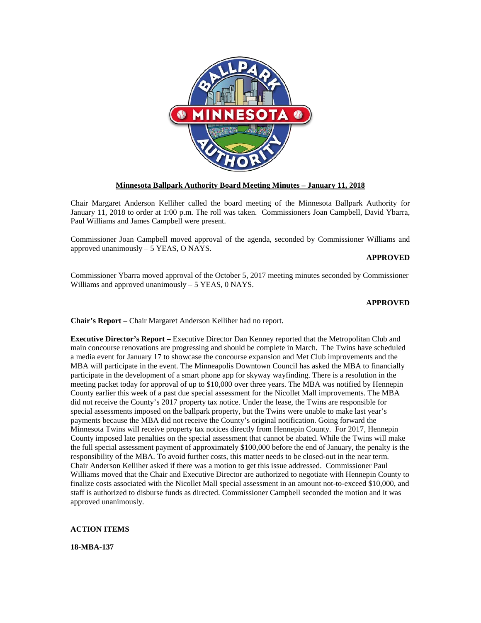

# **Minnesota Ballpark Authority Board Meeting Minutes – January 11, 2018**

Chair Margaret Anderson Kelliher called the board meeting of the Minnesota Ballpark Authority for January 11, 2018 to order at 1:00 p.m. The roll was taken. Commissioners Joan Campbell, David Ybarra, Paul Williams and James Campbell were present.

Commissioner Joan Campbell moved approval of the agenda, seconded by Commissioner Williams and approved unanimously – 5 YEAS, O NAYS.

# **APPROVED**

Commissioner Ybarra moved approval of the October 5, 2017 meeting minutes seconded by Commissioner Williams and approved unanimously – 5 YEAS, 0 NAYS.

# **APPROVED**

**Chair's Report –** Chair Margaret Anderson Kelliher had no report.

**Executive Director's Report –** Executive Director Dan Kenney reported that the Metropolitan Club and main concourse renovations are progressing and should be complete in March. The Twins have scheduled a media event for January 17 to showcase the concourse expansion and Met Club improvements and the MBA will participate in the event. The Minneapolis Downtown Council has asked the MBA to financially participate in the development of a smart phone app for skyway wayfinding. There is a resolution in the meeting packet today for approval of up to \$10,000 over three years. The MBA was notified by Hennepin County earlier this week of a past due special assessment for the Nicollet Mall improvements. The MBA did not receive the County's 2017 property tax notice. Under the lease, the Twins are responsible for special assessments imposed on the ballpark property, but the Twins were unable to make last year's payments because the MBA did not receive the County's original notification. Going forward the Minnesota Twins will receive property tax notices directly from Hennepin County. For 2017, Hennepin County imposed late penalties on the special assessment that cannot be abated. While the Twins will make the full special assessment payment of approximately \$100,000 before the end of January, the penalty is the responsibility of the MBA. To avoid further costs, this matter needs to be closed-out in the near term. Chair Anderson Kelliher asked if there was a motion to get this issue addressed. Commissioner Paul Williams moved that the Chair and Executive Director are authorized to negotiate with Hennepin County to finalize costs associated with the Nicollet Mall special assessment in an amount not-to-exceed \$10,000, and staff is authorized to disburse funds as directed. Commissioner Campbell seconded the motion and it was approved unanimously.

# **ACTION ITEMS**

**18-MBA-137**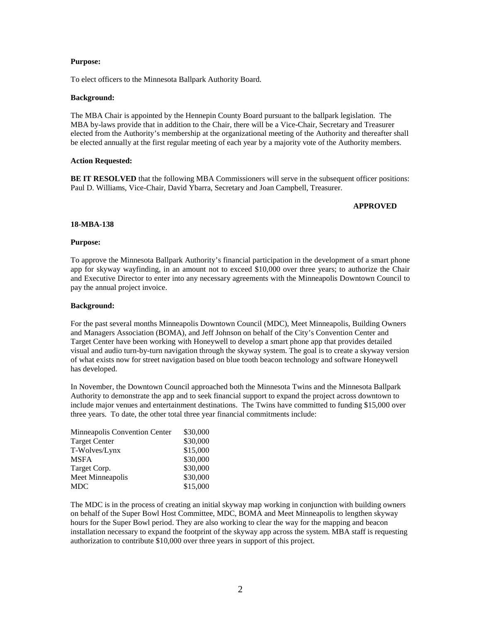# **Purpose:**

To elect officers to the Minnesota Ballpark Authority Board.

### **Background:**

The MBA Chair is appointed by the Hennepin County Board pursuant to the ballpark legislation. The MBA by-laws provide that in addition to the Chair, there will be a Vice-Chair, Secretary and Treasurer elected from the Authority's membership at the organizational meeting of the Authority and thereafter shall be elected annually at the first regular meeting of each year by a majority vote of the Authority members.

#### **Action Requested:**

**BE IT RESOLVED** that the following MBA Commissioners will serve in the subsequent officer positions: Paul D. Williams, Vice-Chair, David Ybarra, Secretary and Joan Campbell, Treasurer.

# **APPROVED**

#### **18-MBA-138**

#### **Purpose:**

To approve the Minnesota Ballpark Authority's financial participation in the development of a smart phone app for skyway wayfinding, in an amount not to exceed \$10,000 over three years; to authorize the Chair and Executive Director to enter into any necessary agreements with the Minneapolis Downtown Council to pay the annual project invoice.

#### **Background:**

For the past several months Minneapolis Downtown Council (MDC), Meet Minneapolis, Building Owners and Managers Association (BOMA), and Jeff Johnson on behalf of the City's Convention Center and Target Center have been working with Honeywell to develop a smart phone app that provides detailed visual and audio turn-by-turn navigation through the skyway system. The goal is to create a skyway version of what exists now for street navigation based on blue tooth beacon technology and software Honeywell has developed.

In November, the Downtown Council approached both the Minnesota Twins and the Minnesota Ballpark Authority to demonstrate the app and to seek financial support to expand the project across downtown to include major venues and entertainment destinations. The Twins have committed to funding \$15,000 over three years. To date, the other total three year financial commitments include:

| Minneapolis Convention Center | \$30,000 |
|-------------------------------|----------|
| <b>Target Center</b>          | \$30,000 |
| T-Wolves/Lynx                 | \$15,000 |
| <b>MSFA</b>                   | \$30,000 |
| Target Corp.                  | \$30,000 |
| Meet Minneapolis              | \$30,000 |
| <b>MDC</b>                    | \$15,000 |

The MDC is in the process of creating an initial skyway map working in conjunction with building owners on behalf of the Super Bowl Host Committee, MDC, BOMA and Meet Minneapolis to lengthen skyway hours for the Super Bowl period. They are also working to clear the way for the mapping and beacon installation necessary to expand the footprint of the skyway app across the system. MBA staff is requesting authorization to contribute \$10,000 over three years in support of this project.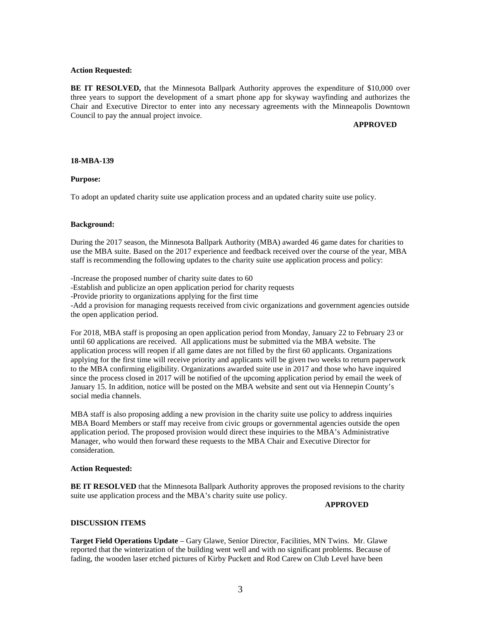### **Action Requested:**

**BE IT RESOLVED,** that the Minnesota Ballpark Authority approves the expenditure of \$10,000 over three years to support the development of a smart phone app for skyway wayfinding and authorizes the Chair and Executive Director to enter into any necessary agreements with the Minneapolis Downtown Council to pay the annual project invoice.

# **APPROVED**

# **18-MBA-139**

# **Purpose:**

To adopt an updated charity suite use application process and an updated charity suite use policy.

# **Background:**

During the 2017 season, the Minnesota Ballpark Authority (MBA) awarded 46 game dates for charities to use the MBA suite. Based on the 2017 experience and feedback received over the course of the year, MBA staff is recommending the following updates to the charity suite use application process and policy:

-Increase the proposed number of charity suite dates to 60 -Establish and publicize an open application period for charity requests -Provide priority to organizations applying for the first time -Add a provision for managing requests received from civic organizations and government agencies outside the open application period.

For 2018, MBA staff is proposing an open application period from Monday, January 22 to February 23 or until 60 applications are received. All applications must be submitted via the MBA website. The application process will reopen if all game dates are not filled by the first 60 applicants. Organizations applying for the first time will receive priority and applicants will be given two weeks to return paperwork to the MBA confirming eligibility. Organizations awarded suite use in 2017 and those who have inquired since the process closed in 2017 will be notified of the upcoming application period by email the week of January 15. In addition, notice will be posted on the MBA website and sent out via Hennepin County's social media channels.

MBA staff is also proposing adding a new provision in the charity suite use policy to address inquiries MBA Board Members or staff may receive from civic groups or governmental agencies outside the open application period. The proposed provision would direct these inquiries to the MBA's Administrative Manager, who would then forward these requests to the MBA Chair and Executive Director for consideration.

# **Action Requested:**

**BE IT RESOLVED** that the Minnesota Ballpark Authority approves the proposed revisions to the charity suite use application process and the MBA's charity suite use policy.

# **APPROVED**

# **DISCUSSION ITEMS**

**Target Field Operations Update** – Gary Glawe, Senior Director, Facilities, MN Twins. Mr. Glawe reported that the winterization of the building went well and with no significant problems. Because of fading, the wooden laser etched pictures of Kirby Puckett and Rod Carew on Club Level have been